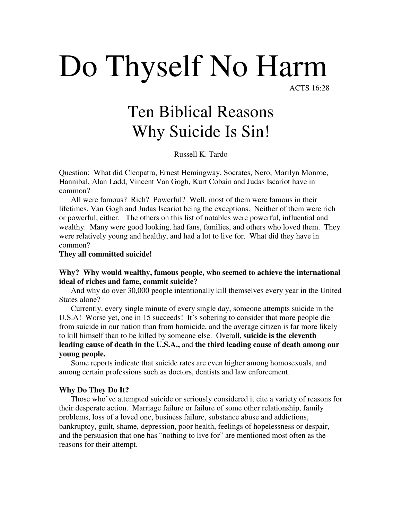# Do Thyself No Harm

ACTS 16:28

# Ten Biblical Reasons Why Suicide Is Sin!

Russell K. Tardo

Question: What did Cleopatra, Ernest Hemingway, Socrates, Nero, Marilyn Monroe, Hannibal, Alan Ladd, Vincent Van Gogh, Kurt Cobain and Judas Iscariot have in common?

 All were famous? Rich? Powerful? Well, most of them were famous in their lifetimes, Van Gogh and Judas Iscariot being the exceptions. Neither of them were rich or powerful, either. The others on this list of notables were powerful, influential and wealthy. Many were good looking, had fans, families, and others who loved them. They were relatively young and healthy, and had a lot to live for. What did they have in common?

**They all committed suicide!** 

# **Why? Why would wealthy, famous people, who seemed to achieve the international ideal of riches and fame, commit suicide?**

 And why do over 30,000 people intentionally kill themselves every year in the United States alone?

 Currently, every single minute of every single day, someone attempts suicide in the U.S.A! Worse yet, one in 15 succeeds! It's sobering to consider that more people die from suicide in our nation than from homicide, and the average citizen is far more likely to kill himself than to be killed by someone else. Overall, **suicide is the eleventh leading cause of death in the U.S.A.,** and **the third leading cause of death among our young people.** 

 Some reports indicate that suicide rates are even higher among homosexuals, and among certain professions such as doctors, dentists and law enforcement.

# **Why Do They Do It?**

 Those who've attempted suicide or seriously considered it cite a variety of reasons for their desperate action. Marriage failure or failure of some other relationship, family problems, loss of a loved one, business failure, substance abuse and addictions, bankruptcy, guilt, shame, depression, poor health, feelings of hopelessness or despair, and the persuasion that one has "nothing to live for" are mentioned most often as the reasons for their attempt.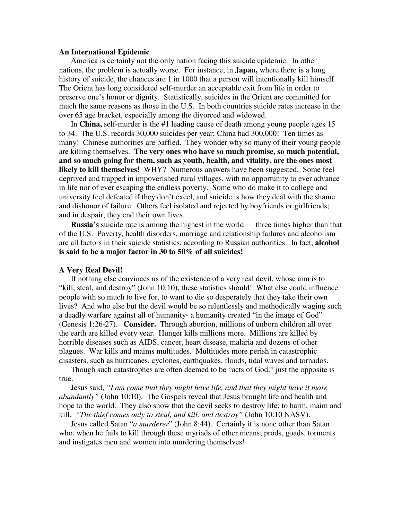# **An International Epidemic**

 America is certainly not the only nation facing this suicide epidemic. In other nations, the problem is actually worse. For instance, in **Japan,** where there is a long history of suicide, the chances are 1 in 1000 that a person will intentionally kill himself. The Orient has long considered self-murder an acceptable exit from life in order to preserve one's honor or dignity. Statistically, suicides in the Orient are committed for much the same reasons as those in the U.S. In both countries suicide rates increase in the over 65 age bracket, especially among the divorced and widowed.

 In **China,** self-murder is the #1 leading cause of death among young people ages 15 to 34. The U.S. records 30,000 suicides per year; China had 300,000! Ten times as many! Chinese authorities are baffled. They wonder why so many of their young people are killing themselves. **The very ones who have so much promise, so much potential, and so much going for them, such as youth, health, and vitality, are the ones most likely to kill themselves!** WHY? Numerous answers have been suggested. Some feel deprived and trapped in impoverished rural villages, with no opportunity to ever advance in life nor of ever escaping the endless poverty. Some who do make it to college and university feel defeated if they don't excel, and suicide is how they deal with the shame and dishonor of failure. Others feel isolated and rejected by boyfriends or girlfriends; and in despair, they end their own lives.

**Russia's** suicide rate is among the highest in the world — three times higher than that of the U.S. Poverty, health disorders, marriage and relationship failures and alcoholism are all factors in their suicide statistics, according to Russian authorities. In fact, **alcohol is said to be a major factor in 30 to 50% of all suicides!** 

#### **A Very Real Devil!**

 If nothing else convinces us of the existence of a very real devil, whose aim is to "kill, steal, and destroy" (John 10:10), these statistics should! What else could influence people with so much to live for, to want to die so desperately that they take their own lives? And who else but the devil would be so relentlessly and methodically waging such a deadly warfare against all of humanity- a humanity created "in the image of God" (Genesis 1:26-27). **Consider.** Through abortion, millions of unborn children all over the earth are killed every year. Hunger kills millions more. Millions are killed by horrible diseases such as AIDS, cancer, heart disease, malaria and dozens of other plagues. War kills and maims multitudes. Multitudes more perish in catastrophic disasters, such as hurricanes, cyclones, earthquakes, floods, tidal waves and tornados.

 Though such catastrophes are often deemed to be "acts of God," just the opposite is true.

 Jesus said, *"I am come that they might have life, and that they might have it more abundantly"* (John 10:10). The Gospels reveal that Jesus brought life and health and hope to the world. They also show that the devil seeks to destroy life; to harm, maim and kill. *"The thief comes only to steal, and kill, and destroy"* (John 10:10 NASV).

 Jesus called Satan "*a murderer*" (John 8:44). Certainly it is none other than Satan who, when he fails to kill through these myriads of other means; prods, goads, torments and instigates men and women into murdering themselves!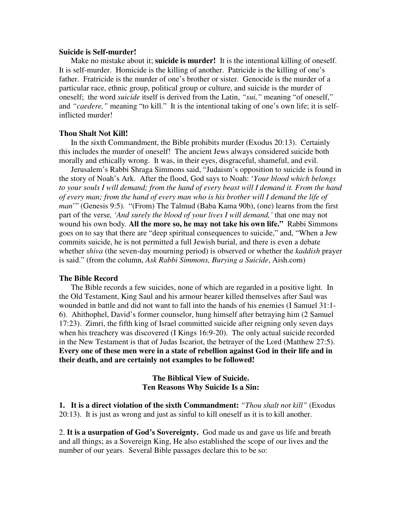#### **Suicide is Self-murder!**

 Make no mistake about it; **suicide is murder!** It is the intentional killing of oneself. It is self-murder. Homicide is the killing of another. Patricide is the killing of one's father. Fratricide is the murder of one's brother or sister. Genocide is the murder of a particular race, ethnic group, political group or culture, and suicide is the murder of oneself; the word *suicide* itself is derived from the Latin, *"sui,"* meaning "of oneself," and *"caedere,"* meaning "to kill." It is the intentional taking of one's own life; it is selfinflicted murder!

### **Thou Shalt Not Kill!**

 In the sixth Commandment, the Bible prohibits murder (Exodus 20:13). Certainly this includes the murder of oneself! The ancient Jews always considered suicide both morally and ethically wrong. It was, in their eyes, disgraceful, shameful, and evil.

 Jerusalem's Rabbi Shraga Simmons said, "Judaism's opposition to suicide is found in the story of Noah's Ark. After the flood, God says to Noah: '*Your blood which belongs to your souls I will demand; from the hand of every beast will I demand it. From the hand of every man; from the hand of every man who is his brother will I demand the life of man*'" (Genesis 9:5). "(From) The Talmud (Baba Kama 90b), (one) learns from the first part of the verse*, 'And surely the blood of your lives I will demand,'* that one may not wound his own body. **All the more so, he may not take his own life."** Rabbi Simmons goes on to say that there are "deep spiritual consequences to suicide," and, "When a Jew commits suicide, he is not permitted a full Jewish burial, and there is even a debate whether *shiva* (the seven-day mourning period) is observed or whether the *kaddish* prayer is said." (from the column, *Ask Rabbi Simmons, Burying a Suicide*, Aish.com)

#### **The Bible Record**

 The Bible records a few suicides, none of which are regarded in a positive light. In the Old Testament, King Saul and his armour bearer killed themselves after Saul was wounded in battle and did not want to fall into the hands of his enemies (I Samuel 31:1- 6). Ahithophel, David's former counselor, hung himself after betraying him (2 Samuel 17:23). Zimri, the fifth king of Israel committed suicide after reigning only seven days when his treachery was discovered (I Kings 16:9-20). The only actual suicide recorded in the New Testament is that of Judas Iscariot, the betrayer of the Lord (Matthew 27:5). **Every one of these men were in a state of rebellion against God in their life and in their death, and are certainly not examples to be followed!**

> **The Biblical View of Suicide. Ten Reasons Why Suicide Is a Sin:**

**1. It is a direct violation of the sixth Commandment:** *"Thou shalt not kill"* (Exodus 20:13). It is just as wrong and just as sinful to kill oneself as it is to kill another.

2. **It is a usurpation of God's Sovereignty.** God made us and gave us life and breath and all things; as a Sovereign King, He also established the scope of our lives and the number of our years. Several Bible passages declare this to be so: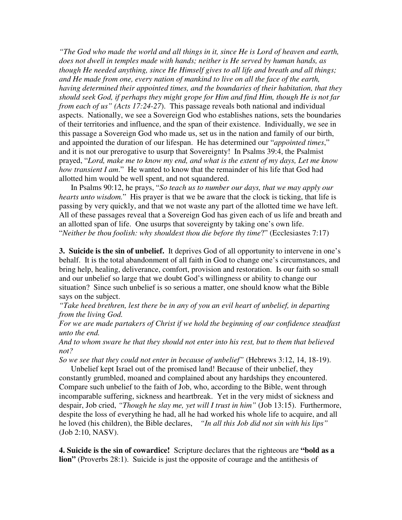*"The God who made the world and all things in it, since He is Lord of heaven and earth, does not dwell in temples made with hands; neither is He served by human hands, as though He needed anything, since He Himself gives to all life and breath and all things; and He made from one, every nation of mankind to live on all the face of the earth, having determined their appointed times, and the boundaries of their habitation, that they should seek God, if perhaps they might grope for Him and find Him, though He is not far from each of us" (Acts 17:24-27*). This passage reveals both national and individual aspects. Nationally, we see a Sovereign God who establishes nations, sets the boundaries of their territories and influence, and the span of their existence. Individually, we see in this passage a Sovereign God who made us, set us in the nation and family of our birth, and appointed the duration of our lifespan. He has determined our "*appointed times*," and it is not our prerogative to usurp that Sovereignty! In Psalms 39:4, the Psalmist prayed, "*Lord, make me to know my end, and what is the extent of my days, Let me know how transient I am*." He wanted to know that the remainder of his life that God had allotted him would be well spent, and not squandered.

 In Psalms 90:12, he prays, "*So teach us to number our days, that we may apply our hearts unto wisdom.*" His prayer is that we be aware that the clock is ticking, that life is passing by very quickly, and that we not waste any part of the allotted time we have left. All of these passages reveal that a Sovereign God has given each of us life and breath and an allotted span of life. One usurps that sovereignty by taking one's own life. "*Neither be thou foolish: why shouldest thou die before thy time*?" (Ecclesiastes 7:17)

**3. Suicide is the sin of unbelief.** It deprives God of all opportunity to intervene in one's behalf. It is the total abandonment of all faith in God to change one's circumstances, and bring help, healing, deliverance, comfort, provision and restoration. Is our faith so small and our unbelief so large that we doubt God's willingness or ability to change our situation? Since such unbelief is so serious a matter, one should know what the Bible says on the subject.

*"Take heed brethren, lest there be in any of you an evil heart of unbelief, in departing from the living God.* 

*For we are made partakers of Christ if we hold the beginning of our confidence steadfast unto the end.* 

*And to whom sware he that they should not enter into his rest, but to them that believed not?* 

*So we see that they could not enter in because of unbelief"* (Hebrews 3:12, 14, 18-19).

 Unbelief kept Israel out of the promised land! Because of their unbelief, they constantly grumbled, moaned and complained about any hardships they encountered. Compare such unbelief to the faith of Job, who, according to the Bible, went through incomparable suffering, sickness and heartbreak. Yet in the very midst of sickness and despair, Job cried, *"Though he slay me, yet will I trust in him"* (Job 13:15). Furthermore, despite the loss of everything he had, all he had worked his whole life to acquire, and all he loved (his children), the Bible declares, *"In all this Job did not sin with his lips"* (Job 2:10, NASV).

**4. Suicide is the sin of cowardice!** Scripture declares that the righteous are **"bold as a lion"** (Proverbs 28:1). Suicide is just the opposite of courage and the antithesis of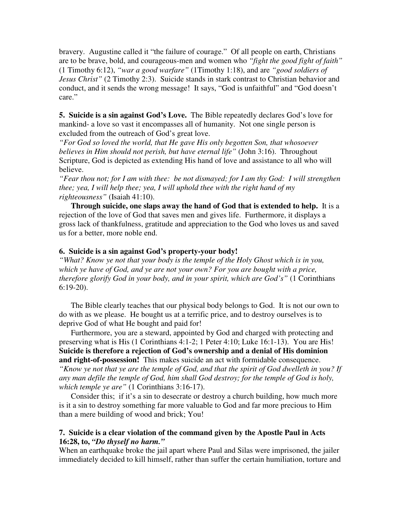bravery. Augustine called it "the failure of courage." Of all people on earth, Christians are to be brave, bold, and courageous-men and women who *"fight the good fight of faith"* (1 Timothy 6:12), *"war a good warfare"* (1Timothy 1:18), and are *"good soldiers of Jesus Christ"* (2 Timothy 2:3). Suicide stands in stark contrast to Christian behavior and conduct, and it sends the wrong message! It says, "God is unfaithful" and "God doesn't care."

**5. Suicide is a sin against God's Love.** The Bible repeatedly declares God's love for mankind- a love so vast it encompasses all of humanity. Not one single person is excluded from the outreach of God's great love.

*"For God so loved the world, that He gave His only begotten Son, that whosoever believes in Him should not perish, but have eternal life"* (John 3:16). Throughout Scripture, God is depicted as extending His hand of love and assistance to all who will believe.

*"Fear thou not; for I am with thee: be not dismayed; for I am thy God: I will strengthen thee; yea, I will help thee; yea, I will uphold thee with the right hand of my righteousness"* (Isaiah 41:10).

**Through suicide, one slaps away the hand of God that is extended to help.** It is a rejection of the love of God that saves men and gives life. Furthermore, it displays a gross lack of thankfulness, gratitude and appreciation to the God who loves us and saved us for a better, more noble end.

# **6. Suicide is a sin against God's property-your body!**

*"What? Know ye not that your body is the temple of the Holy Ghost which is in you, which ye have of God, and ye are not your own? For you are bought with a price, therefore glorify God in your body, and in your spirit, which are God's"* (1 Corinthians 6:19-20).

 The Bible clearly teaches that our physical body belongs to God. It is not our own to do with as we please. He bought us at a terrific price, and to destroy ourselves is to deprive God of what He bought and paid for!

 Furthermore, you are a steward, appointed by God and charged with protecting and preserving what is His (1 Corinthians 4:1-2; 1 Peter 4:10; Luke 16:1-13). You are His! **Suicide is therefore a rejection of God's ownership and a denial of His dominion and right-of-possession!** This makes suicide an act with formidable consequence. *"Know ye not that ye are the temple of God, and that the spirit of God dwelleth in you? If any man defile the temple of God, him shall God destroy; for the temple of God is holy, which temple ye are"* (1 Corinthians 3:16-17).

 Consider this; if it's a sin to desecrate or destroy a church building, how much more is it a sin to destroy something far more valuable to God and far more precious to Him than a mere building of wood and brick; You!

# **7. Suicide is a clear violation of the command given by the Apostle Paul in Acts 16:28, to,** *"Do thyself no harm."*

When an earthquake broke the jail apart where Paul and Silas were imprisoned, the jailer immediately decided to kill himself, rather than suffer the certain humiliation, torture and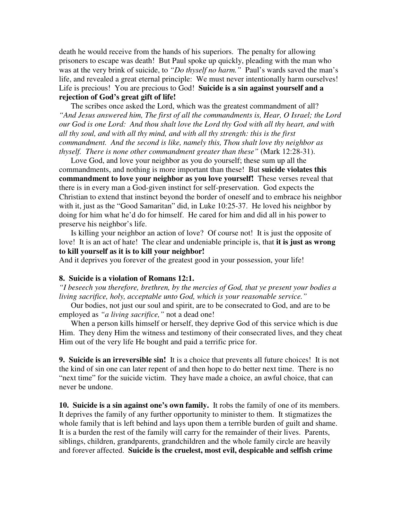death he would receive from the hands of his superiors. The penalty for allowing prisoners to escape was death! But Paul spoke up quickly, pleading with the man who was at the very brink of suicide, to *"Do thyself no harm."* Paul's wards saved the man's life, and revealed a great eternal principle: We must never intentionally harm ourselves! Life is precious! You are precious to God! **Suicide is a sin against yourself and a rejection of God's great gift of life!** 

 The scribes once asked the Lord, which was the greatest commandment of all? *"And Jesus answered him, The first of all the commandments is, Hear, O Israel; the Lord our God is one Lord: And thou shalt love the Lord thy God with all thy heart, and with all thy soul, and with all thy mind, and with all thy strength: this is the first commandment. And the second is like, namely this, Thou shalt love thy neighbor as thyself. There is none other commandment greater than these"* (Mark 12:28-31).

 Love God, and love your neighbor as you do yourself; these sum up all the commandments, and nothing is more important than these! But **suicide violates this commandment to love your neighbor as you love yourself!** These verses reveal that there is in every man a God-given instinct for self-preservation. God expects the Christian to extend that instinct beyond the border of oneself and to embrace his neighbor with it, just as the "Good Samaritan" did, in Luke 10:25-37. He loved his neighbor by doing for him what he'd do for himself. He cared for him and did all in his power to preserve his neighbor's life.

 Is killing your neighbor an action of love? Of course not! It is just the opposite of love! It is an act of hate! The clear and undeniable principle is, that **it is just as wrong to kill yourself as it is to kill your neighbor!** 

And it deprives you forever of the greatest good in your possession, your life!

# **8. Suicide is a violation of Romans 12:1.**

*"I beseech you therefore, brethren, by the mercies of God, that ye present your bodies a living sacrifice, holy, acceptable unto God, which is your reasonable service."*

 Our bodies, not just our soul and spirit, are to be consecrated to God, and are to be employed as *"a living sacrifice,"* not a dead one!

 When a person kills himself or herself, they deprive God of this service which is due Him. They deny Him the witness and testimony of their consecrated lives, and they cheat Him out of the very life He bought and paid a terrific price for.

**9. Suicide is an irreversible sin!** It is a choice that prevents all future choices! It is not the kind of sin one can later repent of and then hope to do better next time. There is no "next time" for the suicide victim. They have made a choice, an awful choice, that can never be undone.

**10. Suicide is a sin against one's own family.** It robs the family of one of its members. It deprives the family of any further opportunity to minister to them. It stigmatizes the whole family that is left behind and lays upon them a terrible burden of guilt and shame. It is a burden the rest of the family will carry for the remainder of their lives. Parents, siblings, children, grandparents, grandchildren and the whole family circle are heavily and forever affected. **Suicide is the cruelest, most evil, despicable and selfish crime**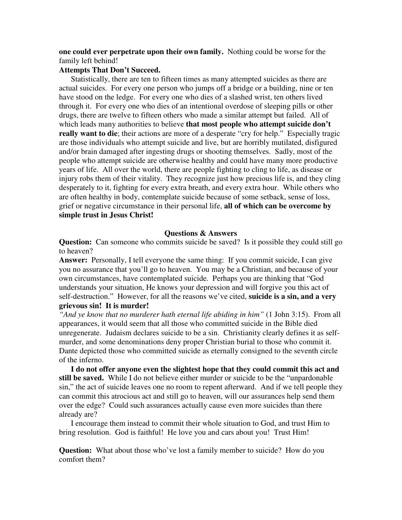**one could ever perpetrate upon their own family.** Nothing could be worse for the family left behind!

# **Attempts That Don't Succeed.**

 Statistically, there are ten to fifteen times as many attempted suicides as there are actual suicides. For every one person who jumps off a bridge or a building, nine or ten have stood on the ledge. For every one who dies of a slashed wrist, ten others lived through it. For every one who dies of an intentional overdose of sleeping pills or other drugs, there are twelve to fifteen others who made a similar attempt but failed. All of which leads many authorities to believe **that most people who attempt suicide don't really want to die**; their actions are more of a desperate "cry for help." Especially tragic are those individuals who attempt suicide and live, but are horribly mutilated, disfigured and/or brain damaged after ingesting drugs or shooting themselves. Sadly, most of the people who attempt suicide are otherwise healthy and could have many more productive years of life. All over the world, there are people fighting to cling to life, as disease or injury robs them of their vitality. They recognize just how precious life is, and they cling desperately to it, fighting for every extra breath, and every extra hour. While others who are often healthy in body, contemplate suicide because of some setback, sense of loss, grief or negative circumstance in their personal life, **all of which can be overcome by simple trust in Jesus Christ!** 

#### **Questions & Answers**

**Question:** Can someone who commits suicide be saved? Is it possible they could still go to heaven?

**Answer:** Personally, I tell everyone the same thing: If you commit suicide, I can give you no assurance that you'll go to heaven. You may be a Christian, and because of your own circumstances, have contemplated suicide. Perhaps you are thinking that "God understands your situation, He knows your depression and will forgive you this act of self-destruction." However, for all the reasons we've cited, **suicide is a sin, and a very grievous sin! It is murder!** 

*"And ye know that no murderer hath eternal life abiding in him"* (1 John 3:15). From all appearances, it would seem that all those who committed suicide in the Bible died unregenerate. Judaism declares suicide to be a sin. Christianity clearly defines it as selfmurder, and some denominations deny proper Christian burial to those who commit it. Dante depicted those who committed suicide as eternally consigned to the seventh circle of the inferno.

**I do not offer anyone even the slightest hope that they could commit this act and still be saved.** While I do not believe either murder or suicide to be the "unpardonable sin," the act of suicide leaves one no room to repent afterward. And if we tell people they can commit this atrocious act and still go to heaven, will our assurances help send them over the edge? Could such assurances actually cause even more suicides than there already are?

 I encourage them instead to commit their whole situation to God, and trust Him to bring resolution. God is faithful! He love you and cars about you! Trust Him!

**Question:** What about those who've lost a family member to suicide? How do you comfort them?